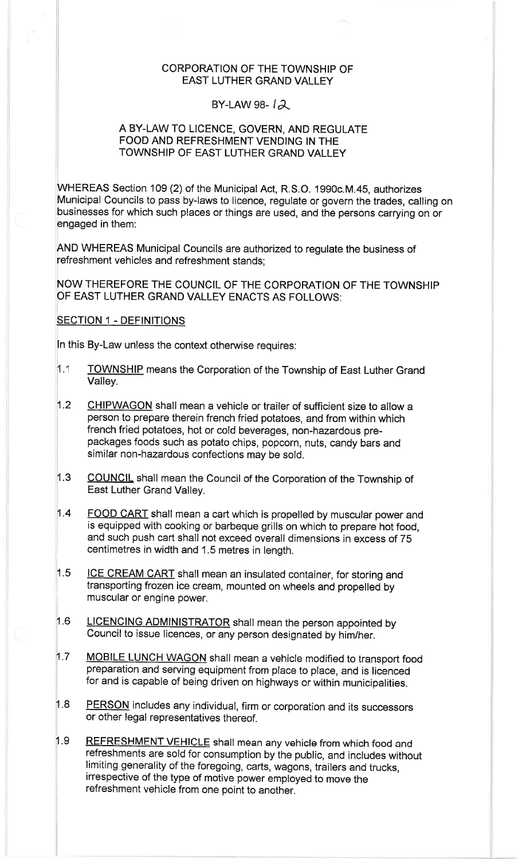## CORPORATION OF THE TOWNSHIP OF EAST LUTHER GRAND VALLEY

## BY-LAW 98- $\lambda$

## A BY-LAW TO LICENCE, GOVERN, AND REGULATE FOOD AND REFRESHMENT VENDING IN THE TOWNSHIP OF EAST LUTHER GRAND VALLEY

WHEREAS Section 109 (2) of the Municipal Act, R.S.O. 1990c.M.45, authorizes Municipal Councils to pass by-laws to licence, regulate or govern the trades, calling on businesses for which such places or things are used, and the persons carrying on or engaged in them:

AND WHEREAS Municipal Councils are authorized to regulate the business of refreshment vehicles and refreshment stands;

NOW THEREFORE THE COUNCIL OF THE CORPORATION OF THE TOWNSHIP OF EAST LUTHER GRAND VALLEY ENACTS AS FOLLOWS:

## SECTION 1 - DEFINITIONS

ln this By-Law unless the context otherwise requires:

- 1.1 TOWNSHIP means the Corporation of the Township of East Luther Grand Valley.
- 1.2 CHIPWAGON shall mean a vehicle or trailer of sufficient size to allow a person to prepare therein french fried potatoes, and from within which french fried potatoes, hot or cold beverages, non-hazardous prepackages foods such as potato chips, popcorn, nuts, candy bars and similar non-hazardous confections may be sold.
- 1.3 COUNCIL shall mean the Council of the Corporation of the Township of East Luther Grand Valley.
- 1.4 FOOD CART shall mean a cart which is propelled by muscular power and is equipped with cooking or barbeque grills on which to prepare hot food, and such push cart shall not exceed overall dimensions in excess of 75 centimetres in width and 1.5 metres in length.
- 1.5 ICE CREAM CART shall mean an insulated container, for storing and transporting frozen ice cream, mounted on wheels and propelled by muscular or engine power.
- 1.6 LICENCING ADMINISTRATOR shall mean the person appointed by council to issue licences, or any person designated by him/her.
- 1.7 MOBILE LUNCH WAGON shall mean a vehicle modified to transport food preparation and serving equipment from place to place, and is licenced for and is capable of being driven on highways or within municipalities.
- 1.8 PERSON includes any individual, firm or corporation and its successors or other legal representatives thereof.
- 1.9 REFRESHMENT VEHICLE shall mean any vehicle from which food and refreshments are sold for consumption by the public, and includes without limiting generality of the foregoing, carts, wagons, trailers and trucks, irrespective of the type of motive power employed to move the refreshment vehicle from one point to another.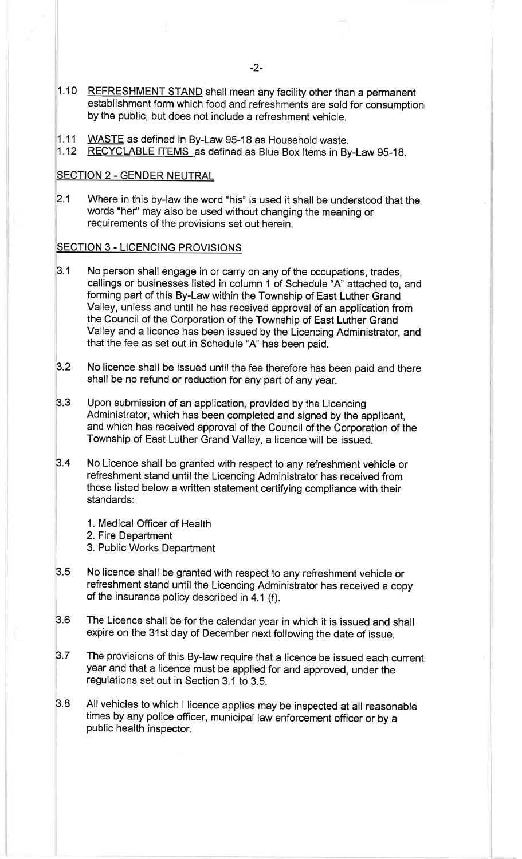- 1.10 <u>REFRESHMENT STAND</u> shall mean any facility other than a permanen establishment form which food and refreshments are sold for consumption by the public, but does not include a refreshment vehicle.
- ,1.11 WASTE as defined in By-Law 95-18 as Household waste.
- 1.12 <u>RECYCLABLE ITEMS</u> as defined as Blue Box Items in By-Law 95-18

## SECTION 2 - GENDER NEUTRAL

2.1 Where in this by-law the word "his" is used it shall be understood that the words "her" may also be used without changing the meaning or requirements of the provisions set out herein.

## **SECTION 3 - LICENCING PROVISIONS**

- 3.1 No person shall engage in or carry on any of the occupations, trades, callings or businesses listed in column 1 of Schedule "A' attached to, and forming part of this By-Law within the Township of East Luther Grand Valley, unless and until he has received approval of an application from the Council of the Corporation of the Township of East Luther Grand Valley and a licence has been issued by the Licencing Administrator, and that the fee as set out in Schedule "A' has been paid.
- 3.2 No licence shall be issued until the fee therefore has been paid and there shall be no refund or reduction for any part of any year.
- 3.3 Upon submission of an application, provided by the Licencing Administrator, which has been completed and signed by the applicant, and which has received approval of the Council of the Corporation of the Township of East Luther Grand Valley, a licence will be issued.
- No Licence shall be granted with respect to any refreshment vehicle or refreshment stand until the Licencing Administrator has received from those listed below a written statement certifying compliance with their standards: 3.4
	- 1. Medical Officer of Health
	- 2. Fire Department
	- 3. Public Works Department
- 3.5 No licence shall be granted with respect to any refreshment vehicle or refreshment stand until the Licencing Administrator has received a copy of the insurance policy described in 4.1 (f).
- The Licence shall be for the calendar year in which it is issued and shall expire on the 31st day of December next following the date of issue. 3.6
- 3.7 The provisions of this By-law require that a licence be issued each current year and that a licence must be applied for and approved, under the regulations set out in Section 3.1 to 3.S.
- 3.8 All vehicles to which I licence applies may be inspected at all reasonable times by any police officer, municipal law enforcement officer or by <sup>a</sup> public health inspector.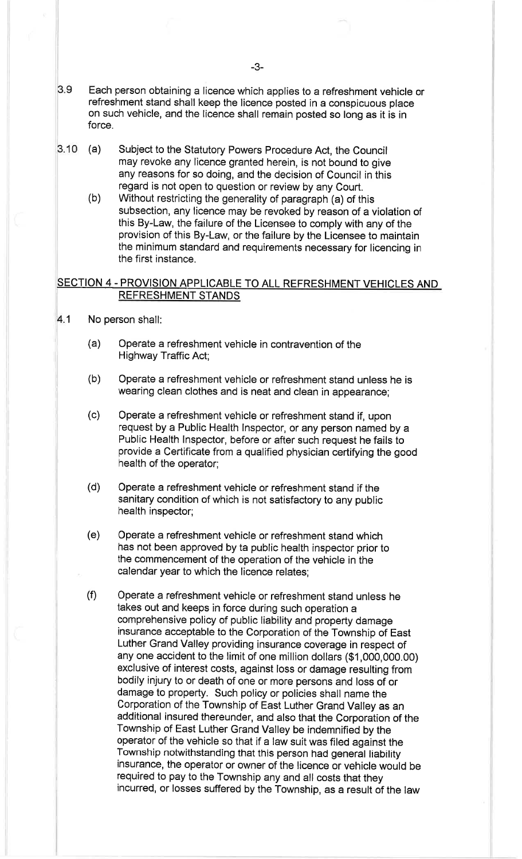- 3.9 Each person obtaining a licence which applies to a refreshment vehicle or refreshment stand shall keep the licence posted in a conspicuous place on such vehicle, and the licence shall remain posted so long as it is in force.
- 3.10 (a) Subject to the Statutory Powers Procedure Act, the Council may revoke any licence granted herein, is not bound to give any reasons for so doing, and the decision of Council in this regard is not open to question or review by any Court.
	- (b) Without restricting the generality of paragraph (a) of this subsection, any licence may be revoked by reason of a violation of this By-Law, the failure of the Licensee to comply with any of the provision of this By-Law, or the failure by the Licensee to maintain the minimum standard and requirements necessary for licencing in the first instance.

## SECTION 4 - PROVISION APPLICABLE TO ALL REFRESHMENT VEHICLES AND REFRESHMENT STANDS

- 4.1 No person shall:
	- (a) Operate a refreshment vehicle in contravention of the Highway Traffic Act;
	- (b) Operate a refreshment vehicle or refreshment stand unless he is wearing clean clothes and is neat and clean in appearance;
	- (c) Operate a refreshment vehicle or refreshment stand if, upon request by a Public Health lnspector, or any person named by a Public Health lnspector, before or after such request he fails to provide a Certificate from a qualified physician certifying the good health of the operator;
	- (d) Operate a refreshment vehicle or refreshment stand if the sanitary condition of which is not satisfactory to any public health inspector;
	- (e) Operate a refreshment vehicle or refreshment stand which has not been approved by ta public health inspector prior to the commencement of the operatíon of the vehicle in the calendar year to which the licence relates;
	- (f) Operate a refreshment vehicle or refreshment stand unless he takes out and keeps in force during such operation a comprehensive policy of public liability and property damage insurance acceptable to the Corporation of the Township of East Luther Grand Valley providing insurance coverage in respect of any one accident to the limit of one million dollars (\$1,000,000.00) exclusive of interest costs, against loss or damage resulting from bodily injury to or death of one or more persons and loss of or damage to property. Such policy or policies shall name the Corporation of the Township of East Luther Grand Valley as an additional insured thereunder, and also that the Corporation of the Township of East Luther Grand Valley be indemnified by the operator of the vehicle so that if a law suit was filed against the Township notwithstanding that this person had general liability insurance, the operator or owner of the licence or vehicle would be required to pay to the Township any and all costs that they incurred, or losses suffered by the Township, as a result of the law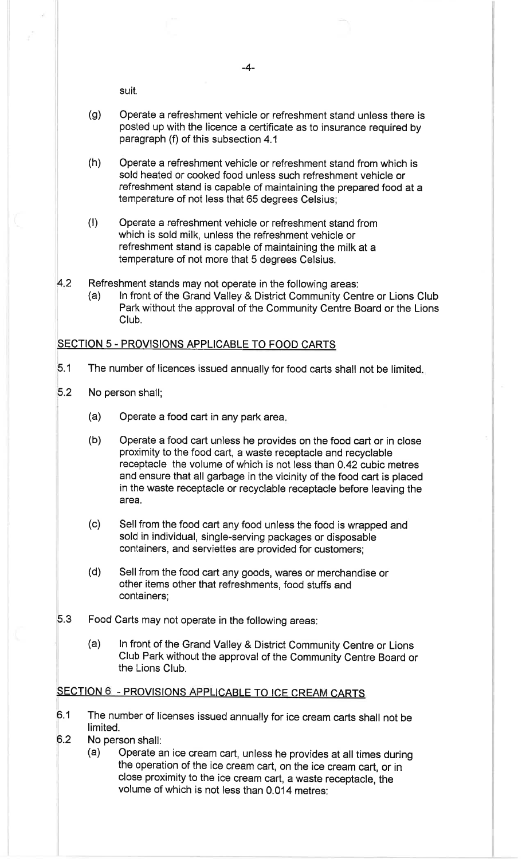suit.

- (g) Operate a refreshment vehicle or refreshment stand unless there is posted up with the licence a certificate as to insurance required by paragraph (f) of this subsection 4.1
- (h) Operate a refreshment vehicle or refreshment stand from which is sold heated or cooked food unless such refreshment vehicle or refreshment stand is capable of maintaining the prepared food at a temperature of not less that 65 degrees Celsius;
- (t) Operate a refreshment vehicle or refreshment stand from which is sold milk, unless the refreshment vehicle or refreshment stand is capable of maintaining the milk at a temperature of not more that 5 degrees Celsius.
- 42
	- Refreshment stands may not operate in the following areas:<br>(a) ln front of the Grand Valley & District Community Centre or Lions Club Park without the approval of the Community Centre Board or the Lions Club.

## SECTION 5 - PROVISIONS APPLICABLE TO FOOD CARTS

- 5.1 The number of licences issued annually for food carts shall not be limited
- 5.2 No person shall;
	- Operate a food cart in any park area (a)
	- Operate a food cart unless he provides on the food cart or in close proximity to the food cart, a waste receptacle and recyclable receptacle the volume of which is not less than 0.42 cubic metres and ensure that all garbage in the vicinity of the food cart is placed in the waste receptacle or recyclable receptacle before leaving the area. (b)
	- (c) Sell from the food cart any food unless the food is wrapped and sold in individual, single-serving packages or disposable containers, and serviettes are provided for customers;
	- (d) Sell from the food cart any goods, wares or merchandise or other items other that refreshments, food stuffs and containers;
- 5.3 Food Carts may not operate in the following areas:
	- (a) ln front of the Grand valley & District Community centre or Lions club Park without the approval of the community centre Board or the Lions Club.

## SECTION 6 - PROVISIONS APPLICABLE TO ICE CREAM CARTS

- 6.1 The number of licenses issued annually for ice cream carts shall not be limited.
- 
- 6.2 No person shall: (a) Operate an ice cream cart, unless he provides at all times during the operation of the ice cream cart, on the ice cream cart, or in close proximity to the ice cream cart, a waste receptacle, the volume of which is not less than 0.014 metres: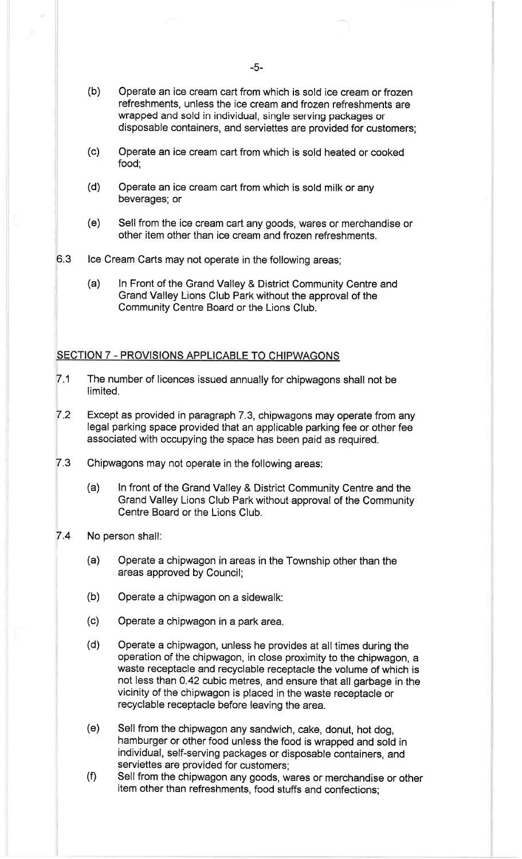- (b) Operate an ice cream cart from which is sold ice cream or frozen refreshments, unless the ice cream and frozen refreshments are wrapped and sold in individual, single servíng packages or disposable containers, and serviettes are provided for customers;
- (c) Operate an ice cream cart from which is sold heated or cooked food;
- (d) Operate an ice cream cart from which is sold milk or any beverages; or
- (e) Sell from the ice cream cart any goods, wares or merchandise or other item other than ice cream and frozen refreshments.
- 6.3 lce Cream Carts may not operate in the following areas;
	- (a) ln Front of the Grand Valley & District Community Centre and Grand Valley Lions Club Park without the approval of the Community Centre Board or the Lions Club.

## SECTION 7 - PROVISIONS APPLICABLE TO CHIPWAGONS

- The number of licences issued annually for chipwagons shall not be limited. 7.1
- Except as provided in paragraph 7.3, chipwagons may operate from any legal parking space provided that an applicable parking fee or other fee associated with occupying the space has been paid as required.  $7.2$
- 7.3 Chipwagons may not operate in the following areas.
	- (a) ln front of the Grand Valley & District Community Centre and the Grand Valley Lions Club Park without approval of the Community Centre Board or the Lions Club.
- 7.4 No person shall:
	- (a) Operate a chipwagon in areas in the Township other than the areas approved by Council;
	- (b) Operate a chipwagon on a sidewalk:
	- (c) Operate a chipwagon in a park area.
	- (d) Operate a chipwagon, unless he provides at all times during the operation of the chipwagon, in close proximity to the chipwagon, a waste receptacle and recyclable receptacle the volume of which is not less than 0.42 cubic metres, and ensure that all garbage in the vicinity of the chipwagon is placed in the waste receptacle or recyclable receptacle before leaving the area.
	- (e) Sell from the chipwagon any sandwich, cake, donut, hot dog, hamburger or other food unless the food is wrapped and sold in individual, self-serving packages or disposable containers, and
	- (f) Sell from the chipwagon any goods, wares or merchandise or other item other than refreshments, food stuffs and confections;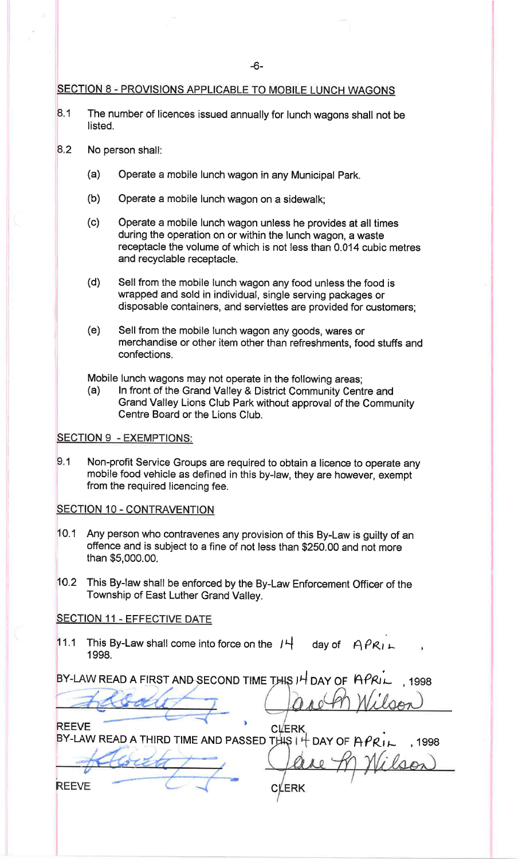## SECTION 8 - PROVISIONS APPLICABLE TO MOBILE LUNCH WAGONS

- 8.1 The number of licences issued annually for lunch wagons shall not be listed.
- 8.2 No person shall:
	- (a) Operate a mobile lunch wagon in any Municipal Park.
	- (b) Operate a mobile lunch wagon on a sidewalk;
	- (c) Operate a mobile lunch wagon unless he provides at all times during the operation on or within the lunch wagon, a waste receptacle the volume of which is not less than O.O14 cubic metres and recyclable receptacle.
	- (d) Sell from the mobile lunch wagon any food unless the food is wrapped and sold in individual, single serving packages or disposable containers, and serviettes are provided for customers;
	- (e) Sell from the mobile lunch wagon any goods, wares or merchandise or other item other than refreshments, food stuffs and confections.

Mobile lunch wagons may not operate in the following areas;<br>(a) In front of the Grand Valley & District Community Centre and Grand Valley Lions Club Park without approval of the Community Centre Board or the Lions Club.

### **SECTION 9 - EXEMPTIONS:**

Non-profit Service Groups are required to obtain a licence to operate any mobile food vehicle as defined in this by-law, they are however, exempt from the required licencing fee.  $9.1$ 

#### SECTION 10 - CONTRAVENTION

- 0.1 Any person who contravenes any provision of this By-Law ís guilty of an offence and is subject to a fine of not less than \$250.00 and not more than \$5,000.00.
- $10.2$ This By-law shall be enforced by the By-Law Enforcement officer of the Township of East Luther Grand Valley.

## SECTION 11 - EFFECTIVE DATE

11.1 This By-Law shall come into force on the  $H_+$  day of  $APR_{L+}$ <sup>1</sup>998.

BY-LAW READ A FIRST AND SECOND TIME THIS IH DAY OF  $RPRI$ 1998

**REEVE CLERK** BY-LAW READ A THIRD TIME AND PASSED THIS  $|$   $|$ DAY OF  $\hat{H}PR_{IL}$ , 1998

**ERK** c

?

REEVE